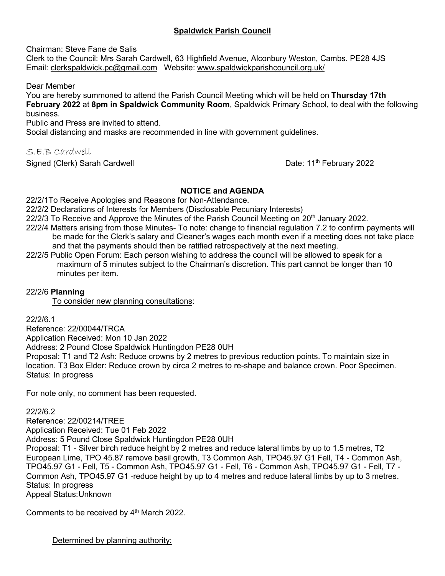# **Spaldwick Parish Council**

Chairman: Steve Fane de Salis

Clerk to the Council: Mrs Sarah Cardwell, 63 Highfield Avenue, Alconbury Weston, Cambs. PE28 4JS Email: [clerkspaldwick.pc@gmail.com](mailto:clerkspaldwick.pc@gmail.com) Website: [www.spaldwickparishcouncil.org.uk/](http://www.spaldwickparishcouncil.org.uk/)

Dear Member

You are hereby summoned to attend the Parish Council Meeting which will be held on **Thursday 17th February 2022** at **8pm in Spaldwick Community Room**, Spaldwick Primary School, to deal with the following business.

Public and Press are invited to attend.

Social distancing and masks are recommended in line with government guidelines.

S.E.B Cardwell

Signed (Clerk) Sarah Cardwell

Date: 11<sup>th</sup> February 2022

#### **NOTICE and AGENDA**

22/2/1To Receive Apologies and Reasons for Non-Attendance.

- 22/2/2 Declarations of Interests for Members (Disclosable Pecuniary Interests)
- $22/2/3$  To Receive and Approve the Minutes of the Parish Council Meeting on  $20<sup>th</sup>$  January 2022.
- 22/2/4 Matters arising from those Minutes- To note: change to financial regulation 7.2 to confirm payments will be made for the Clerk's salary and Cleaner's wages each month even if a meeting does not take place and that the payments should then be ratified retrospectively at the next meeting.
- 22/2/5 Public Open Forum: Each person wishing to address the council will be allowed to speak for a maximum of 5 minutes subject to the Chairman's discretion. This part cannot be longer than 10 minutes per item.

# 22/2/6 **Planning**

To consider new planning consultations:

22/2/6.1

Reference: 22/00044/TRCA

Application Received: Mon 10 Jan 2022

Address: 2 Pound Close Spaldwick Huntingdon PE28 0UH

Proposal: T1 and T2 Ash: Reduce crowns by 2 metres to previous reduction points. To maintain size in location. T3 Box Elder: Reduce crown by circa 2 metres to re-shape and balance crown. Poor Specimen. Status: In progress

For note only, no comment has been requested.

## 22/2/6.2

Reference: 22/00214/TREE Application Received: Tue 01 Feb 2022 Address: 5 Pound Close Spaldwick Huntingdon PE28 0UH Proposal: T1 - Silver birch reduce height by 2 metres and reduce lateral limbs by up to 1.5 metres, T2 European Lime, TPO 45.87 remove basil growth, T3 Common Ash, TPO45.97 G1 Fell, T4 - Common Ash, TPO45.97 G1 - Fell, T5 - Common Ash, TPO45.97 G1 - Fell, T6 - Common Ash, TPO45.97 G1 - Fell, T7 - Common Ash, TPO45.97 G1 -reduce height by up to 4 metres and reduce lateral limbs by up to 3 metres. Status: In progress Appeal Status:Unknown

Comments to be received by 4<sup>th</sup> March 2022.

Determined by planning authority: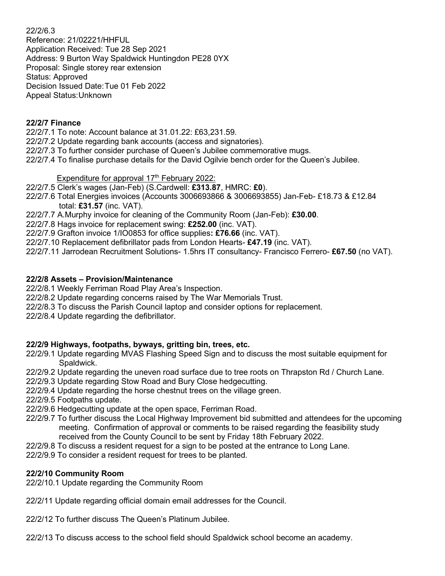#### 22/2/6.3

Reference: 21/02221/HHFUL Application Received: Tue 28 Sep 2021 Address: 9 Burton Way Spaldwick Huntingdon PE28 0YX Proposal: Single storey rear extension Status: Approved Decision Issued Date:Tue 01 Feb 2022 Appeal Status:Unknown

## **22/2/7 Finance**

22/2/7.1 To note: Account balance at 31.01.22: £63,231.59.

- 22/2/7.2 Update regarding bank accounts (access and signatories).
- 22/2/7.3 To further consider purchase of Queen's Jubilee commemorative mugs.
- 22/2/7.4 To finalise purchase details for the David Ogilvie bench order for the Queen's Jubilee.

## Expenditure for approval  $17<sup>th</sup>$  February 2022:

- 22/2/7.5 Clerk's wages (Jan-Feb) (S.Cardwell: **£313.87**, HMRC: **£0**).
- 22/2/7.6 Total Energies invoices (Accounts 3006693866 & 3006693855) Jan-Feb- £18.73 & £12.84 total: **£31.57** (inc. VAT).
- 22/2/7.7 A.Murphy invoice for cleaning of the Community Room (Jan-Feb): **£30.00**.
- 22/2/7.8 Hags invoice for replacement swing: **£252.00** (inc. VAT).
- 22/2/7.9 Grafton invoice 1/IO0853 for office supplies**: £76.66** (inc. VAT).
- 22/2/7.10 Replacement defibrillator pads from London Hearts- **£47.19** (inc. VAT).
- 22/2/7.11 Jarrodean Recruitment Solutions- 1.5hrs IT consultancy- Francisco Ferrero- **£67.50** (no VAT).

#### **22/2/8 Assets – Provision/Maintenance**

- 22/2/8.1 Weekly Ferriman Road Play Area's Inspection.
- 22/2/8.2 Update regarding concerns raised by The War Memorials Trust.
- 22/2/8.3 To discuss the Parish Council laptop and consider options for replacement.
- 22/2/8.4 Update regarding the defibrillator.

## **22/2/9 Highways, footpaths, byways, gritting bin, trees, etc.**

- 22/2/9.1 Update regarding MVAS Flashing Speed Sign and to discuss the most suitable equipment for Spaldwick.
- 22/2/9.2 Update regarding the uneven road surface due to tree roots on Thrapston Rd / Church Lane.
- 22/2/9.3 Update regarding Stow Road and Bury Close hedgecutting.
- 22/2/9.4 Update regarding the horse chestnut trees on the village green.
- 22/2/9.5 Footpaths update.
- 22/2/9.6 Hedgecutting update at the open space, Ferriman Road.
- 22/2/9.7 To further discuss the Local Highway Improvement bid submitted and attendees for the upcoming meeting. Confirmation of approval or comments to be raised regarding the feasibility study received from the County Council to be sent by Friday 18th February 2022.
- 22/2/9.8 To discuss a resident request for a sign to be posted at the entrance to Long Lane.
- 22/2/9.9 To consider a resident request for trees to be planted.

## **22/2/10 Community Room**

- 22/2/10.1 Update regarding the Community Room
- 22/2/11 Update regarding official domain email addresses for the Council.
- 22/2/12 To further discuss The Queen's Platinum Jubilee.
- 22/2/13 To discuss access to the school field should Spaldwick school become an academy.